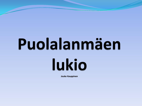# Puolalanmäen lukio

**Jouko Kauppinen**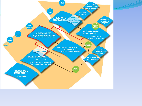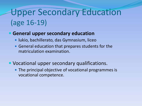## Upper Secondary Education (age 16-19)

#### **General upper secondary education**

- lukio, bachillerato, das Gymnasium, liceo
- General education that prepares students for the matriculation examination.
- Vocational upper secondary qualifications.
	- The principal objective of vocational programmes is vocational competence.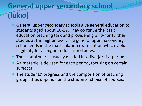## **General upper secondary school (lukio)**

- General upper secondary schools give general education to students aged about 16-19. They continue the basic education teaching task and provide eligibility for further studies at the higher level. The general upper secondary school ends in the matriculation examination which yields eligibility for all higher education studies.
- The school year is usually divided into five (or six) periods.
- A timetable is devised for each period, focusing on certain subjects
- The students' progress and the composition of teaching groups thus depends on the students' choice of courses.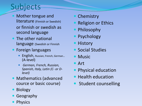## Subjects

- Mother tongue and literature (Finnish or Swedish) or finnish or swedish as second language
- The other national language (Swedish or Finnish
- **Foreign languages** 
	- English, Russian, French, German… (A-level)
	- *German, French, Russian, Spanish, Italy, Latin (C- or Dlevel)*
- Mathematics (advanced cource or basic course)
- Biology
- **Geography**
- Physics
- **Chemistry**
- Religion or Ethics
- Philosophy
- Psychology
- **History**
- **Social Studies**
- Music
- Art
- **Physical education**
- **Health education**
- Student counselling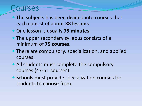#### Courses

- **The subjects has been divided into courses that** each consist of about **38 lessons**.
- One lesson is usually **75 minutes**.
- The upper secondary syllabus consists of a minimum of **75 courses**.
- There are compulsory, specialization, and applied courses.
- All students must complete the compulsory courses (47-51 courses)
- Schools must provide specialization courses for students to choose from.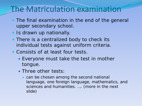#### The Matriculation examination

- The final examination in the end of the general upper secondary school.
- Is drawn up nationally.
- There is a centralized body to check its individual tests against uniform criteria.
- Consists of at least four tests.
	- Everyone must take the test in mother tongue.
	- Three other tests:
		- can be chosen among the second national language, one foreign language, mathematics, and sciences and humanities. …. (more in the next slide)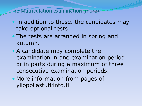The Matriculation examination (more)

- In addition to these, the candidates may take optional tests.
- The tests are arranged in spring and autumn.
- A candidate may complete the examination in one examination period or in parts during a maximum of three consecutive examination periods.
- More information from pages of ylioppilastutkinto.fi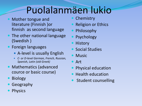## Puolalanmäen lukio

- Mother tongue and literature (Finnish )or finnish as second language
- The other national language (Swedish )
- **•** Foreign languages
	- A-level is usually English
	- *C- or D-level German, French, Russian, Spanish, Latin (old Greek)*
- Mathematics (advanced cource or basic course)
- Biology
- Geography
- Physics
- **Chemistry**
- Religion or Ethics
- Philosophy
- Psychology
- **History**
- **Social Studies**
- Music
- Art
- Physical education
- Health education
- Student counselling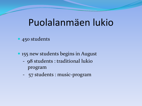## Puolalanmäen lukio

- 450 students
- 155 new students begins in August
	- 98 students : traditional lukio program
	- 57 students : music-program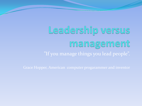Leadership versus management "If you manage things you lead people".

Grace Hopper, American computer progarammer and inventor